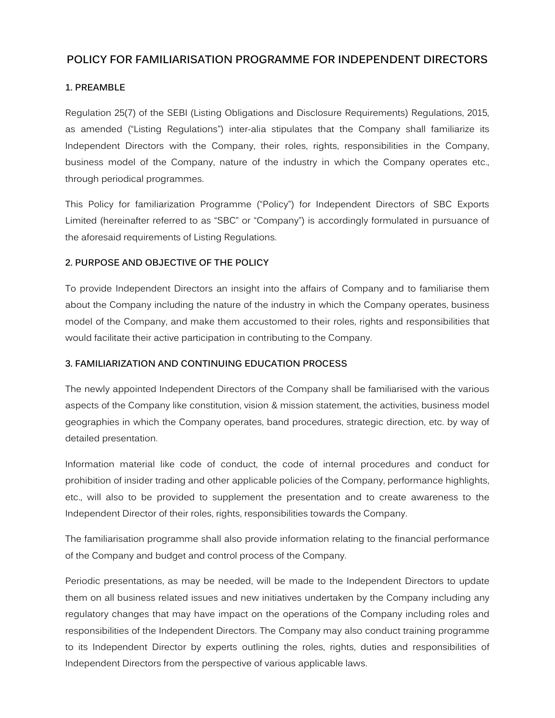# **POLICY FOR FAMILIARISATION PROGRAMME FOR INDEPENDENT DIRECTORS**

## **1. PREAMBLE**

Regulation 25(7) of the SEBI (Listing Obligations and Disclosure Requirements) Regulations, 2015, as amended ("Listing Regulations") inter-alia stipulates that the Company shall familiarize its Independent Directors with the Company, their roles, rights, responsibilities in the Company, business model of the Company, nature of the industry in which the Company operates etc., through periodical programmes.

This Policy for familiarization Programme ("Policy") for Independent Directors of SBC Exports Limited (hereinafter referred to as "SBC" or "Company") is accordingly formulated in pursuance of the aforesaid requirements of Listing Regulations.

## **2. PURPOSE AND OBJECTIVE OF THE POLICY**

To provide Independent Directors an insight into the affairs of Company and to familiarise them about the Company including the nature of the industry in which the Company operates, business model of the Company, and make them accustomed to their roles, rights and responsibilities that would facilitate their active participation in contributing to the Company.

#### **3. FAMILIARIZATION AND CONTINUING EDUCATION PROCESS**

The newly appointed Independent Directors of the Company shall be familiarised with the various aspects of the Company like constitution, vision & mission statement, the activities, business model geographies in which the Company operates, band procedures, strategic direction, etc. by way of detailed presentation.

Information material like code of conduct, the code of internal procedures and conduct for prohibition of insider trading and other applicable policies of the Company, performance highlights, etc., will also to be provided to supplement the presentation and to create awareness to the Independent Director of their roles, rights, responsibilities towards the Company.

The familiarisation programme shall also provide information relating to the financial performance of the Company and budget and control process of the Company.

Periodic presentations, as may be needed, will be made to the Independent Directors to update them on all business related issues and new initiatives undertaken by the Company including any regulatory changes that may have impact on the operations of the Company including roles and responsibilities of the Independent Directors. The Company may also conduct training programme to its Independent Director by experts outlining the roles, rights, duties and responsibilities of Independent Directors from the perspective of various applicable laws.